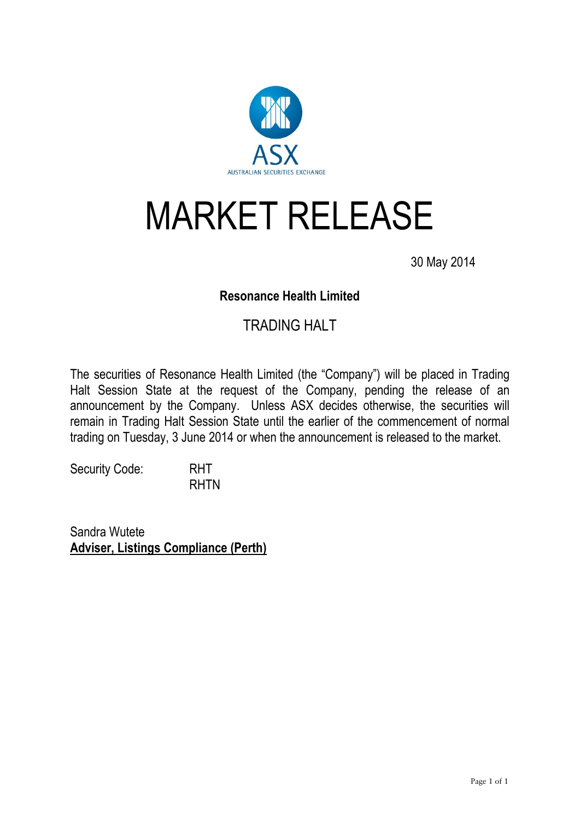

# MARKET RELEASE

30 May 2014

## **Resonance Health Limited**

## TRADING HALT

The securities of Resonance Health Limited (the "Company") will be placed in Trading Halt Session State at the request of the Company, pending the release of an announcement by the Company. Unless ASX decides otherwise, the securities will remain in Trading Halt Session State until the earlier of the commencement of normal trading on Tuesday, 3 June 2014 or when the announcement is released to the market.

Security Code: RHT RHTN

Sandra Wutete **Adviser, Listings Compliance (Perth)**